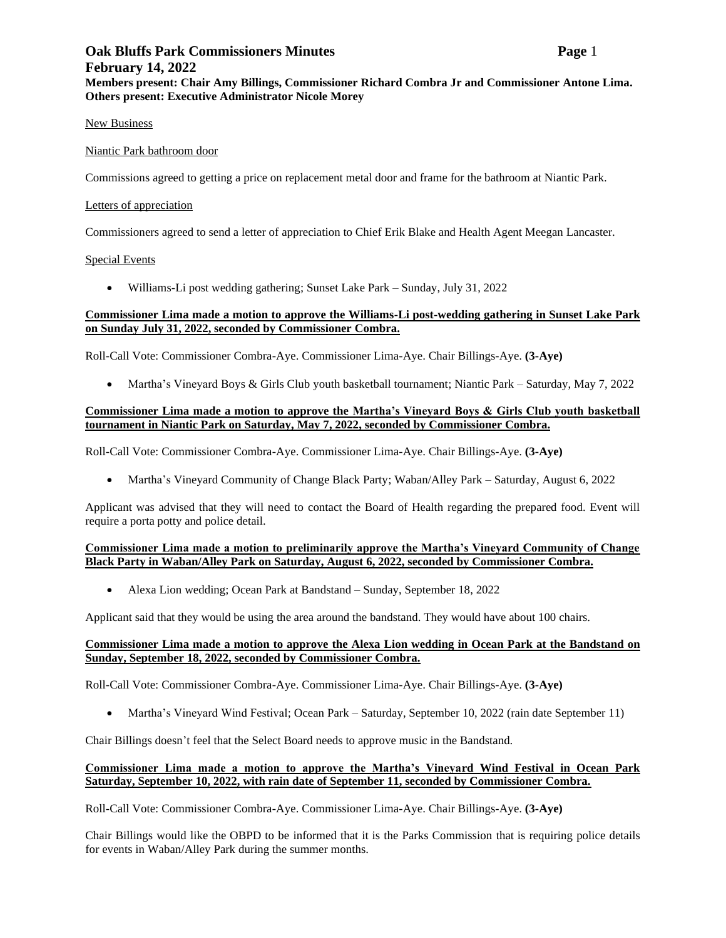# **Oak Bluffs Park Commissioners Minutes Page** 1 **February 14, 2022 Members present: Chair Amy Billings, Commissioner Richard Combra Jr and Commissioner Antone Lima. Others present: Executive Administrator Nicole Morey**

#### New Business

# Niantic Park bathroom door

Commissions agreed to getting a price on replacement metal door and frame for the bathroom at Niantic Park.

# Letters of appreciation

Commissioners agreed to send a letter of appreciation to Chief Erik Blake and Health Agent Meegan Lancaster.

# Special Events

• Williams-Li post wedding gathering; Sunset Lake Park – Sunday, July 31, 2022

# **Commissioner Lima made a motion to approve the Williams-Li post-wedding gathering in Sunset Lake Park on Sunday July 31, 2022, seconded by Commissioner Combra.**

Roll-Call Vote: Commissioner Combra-Aye. Commissioner Lima-Aye. Chair Billings-Aye. **(3-Aye)**

• Martha's Vineyard Boys & Girls Club youth basketball tournament; Niantic Park – Saturday, May 7, 2022

# **Commissioner Lima made a motion to approve the Martha's Vineyard Boys & Girls Club youth basketball tournament in Niantic Park on Saturday, May 7, 2022, seconded by Commissioner Combra.**

Roll-Call Vote: Commissioner Combra-Aye. Commissioner Lima-Aye. Chair Billings-Aye. **(3-Aye)**

• Martha's Vineyard Community of Change Black Party; Waban/Alley Park – Saturday, August 6, 2022

Applicant was advised that they will need to contact the Board of Health regarding the prepared food. Event will require a porta potty and police detail.

#### **Commissioner Lima made a motion to preliminarily approve the Martha's Vineyard Community of Change Black Party in Waban/Alley Park on Saturday, August 6, 2022, seconded by Commissioner Combra.**

• Alexa Lion wedding; Ocean Park at Bandstand – Sunday, September 18, 2022

Applicant said that they would be using the area around the bandstand. They would have about 100 chairs.

# **Commissioner Lima made a motion to approve the Alexa Lion wedding in Ocean Park at the Bandstand on Sunday, September 18, 2022, seconded by Commissioner Combra.**

Roll-Call Vote: Commissioner Combra-Aye. Commissioner Lima-Aye. Chair Billings-Aye. **(3-Aye)**

• Martha's Vineyard Wind Festival; Ocean Park – Saturday, September 10, 2022 (rain date September 11)

Chair Billings doesn't feel that the Select Board needs to approve music in the Bandstand.

# **Commissioner Lima made a motion to approve the Martha's Vineyard Wind Festival in Ocean Park Saturday, September 10, 2022, with rain date of September 11, seconded by Commissioner Combra.**

Roll-Call Vote: Commissioner Combra-Aye. Commissioner Lima-Aye. Chair Billings-Aye. **(3-Aye)**

Chair Billings would like the OBPD to be informed that it is the Parks Commission that is requiring police details for events in Waban/Alley Park during the summer months.